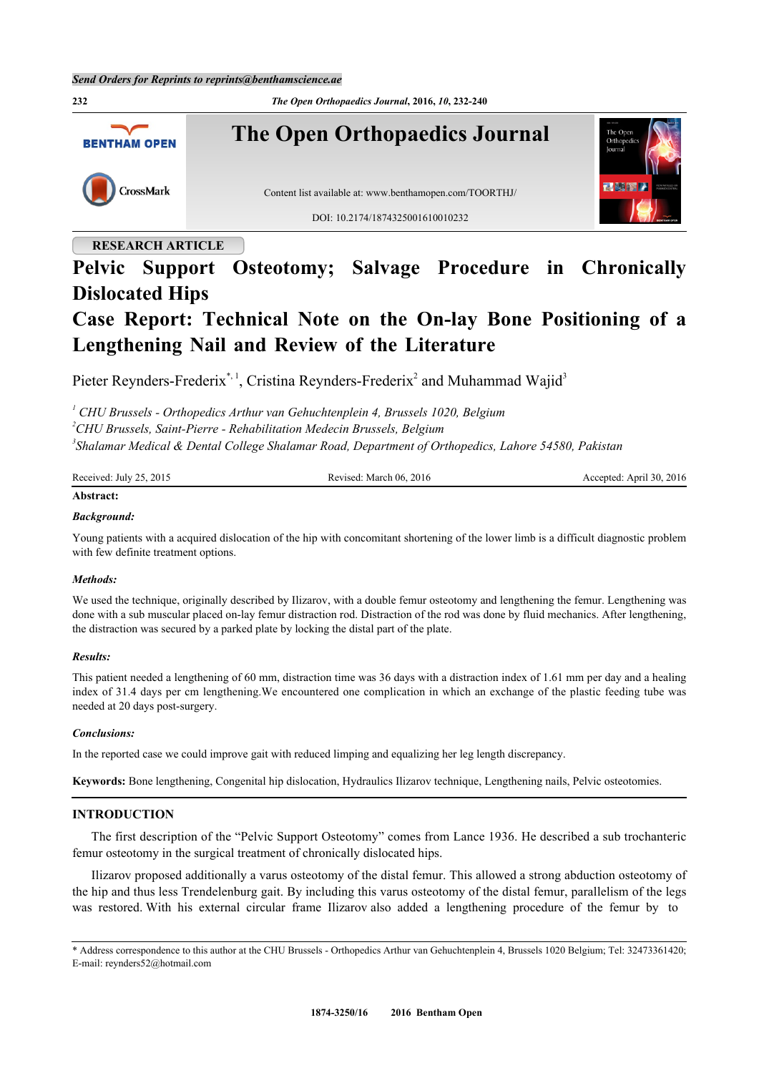

## **RESEARCH ARTICLE**

# **Pelvic Support Osteotomy; Salvage Procedure in Chronically Dislocated Hips**

# **Case Report: Technical Note on the On-lay Bone Positioning of a Lengthening Nail and Review of the Literature**

Pieter Reynders-Frederix<sup>[\\*,](#page-0-0) [1](#page-0-1)</sup>, Cristina Reynders-Frederix<sup>[2](#page-0-2)</sup> and Muhammad Wajid<sup>[3](#page-0-3)</sup>

<span id="page-0-1"></span><sup>1</sup> CHU Brussels - Orthopedics Arthur van Gehuchtenplein 4, Brussels 1020, Belgium

<span id="page-0-2"></span>*<sup>2</sup>CHU Brussels, Saint-Pierre - Rehabilitation Medecin Brussels, Belgium*

<span id="page-0-3"></span>*3 Shalamar Medical & Dental College Shalamar Road, Department of Orthopedics, Lahore 54580, Pakistan*

| Received: July 25, 2015 | Revised: March 06, 2016 | Accepted: April 30, 2016 |
|-------------------------|-------------------------|--------------------------|
| Abstract:               |                         |                          |

#### *Background:*

Young patients with a acquired dislocation of the hip with concomitant shortening of the lower limb is a difficult diagnostic problem with few definite treatment options.

#### *Methods:*

We used the technique, originally described by Ilizarov, with a double femur osteotomy and lengthening the femur. Lengthening was done with a sub muscular placed on-lay femur distraction rod. Distraction of the rod was done by fluid mechanics. After lengthening, the distraction was secured by a parked plate by locking the distal part of the plate.

#### *Results:*

This patient needed a lengthening of 60 mm, distraction time was 36 days with a distraction index of 1.61 mm per day and a healing index of 31.4 days per cm lengthening.We encountered one complication in which an exchange of the plastic feeding tube was needed at 20 days post-surgery.

#### *Conclusions:*

In the reported case we could improve gait with reduced limping and equalizing her leg length discrepancy.

**Keywords:** Bone lengthening, Congenital hip dislocation, Hydraulics Ilizarov technique, Lengthening nails, Pelvic osteotomies.

### **INTRODUCTION**

The first description of the "Pelvic Support Osteotomy" comes from Lance 1936. He described a sub trochanteric femur osteotomy in the surgical treatment of chronically dislocated hips.

Ilizarov proposed additionally a varus osteotomy of the distal femur. This allowed a strong abduction osteotomy of the hip and thus less Trendelenburg gait. By including this varus osteotomy of the distal femur, parallelism of the legs was restored. With his external circular frame Ilizarov also added a lengthening procedure of the femur by to

<span id="page-0-0"></span><sup>\*</sup> Address correspondence to this author at the CHU Brussels - Orthopedics Arthur van Gehuchtenplein 4, Brussels 1020 Belgium; Tel: 32473361420; E-mail: [reynders52@hotmail.com](mailto:reynders52@hotmail.com)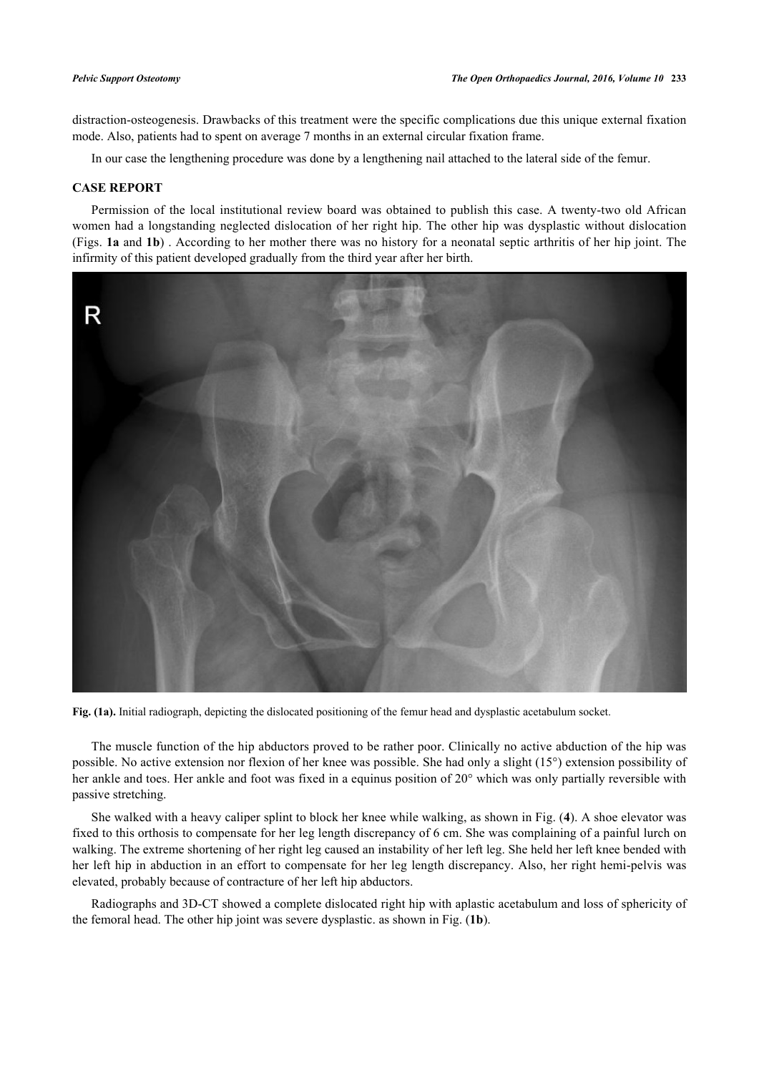distraction-osteogenesis. Drawbacks of this treatment were the specific complications due this unique external fixation mode. Also, patients had to spent on average 7 months in an external circular fixation frame.

In our case the lengthening procedure was done by a lengthening nail attached to the lateral side of the femur.

#### **CASE REPORT**

Permission of the local institutional review board was obtained to publish this case. A twenty-two old African women had a longstanding neglected dislocation of her right hip. The other hip was dysplastic without dislocation (Figs. **[1a](#page--1-0)** and **[1b](#page-1-0)**) . According to her mother there was no history for a neonatal septic arthritis of her hip joint. The infirmity of this patient developed gradually from the third year after her birth.



**Fig. (1a).** Initial radiograph, depicting the dislocated positioning of the femur head and dysplastic acetabulum socket.

The muscle function of the hip abductors proved to be rather poor. Clinically no active abduction of the hip was possible. No active extension nor flexion of her knee was possible. She had only a slight (15°) extension possibility of her ankle and toes. Her ankle and foot was fixed in a equinus position of 20° which was only partially reversible with passive stretching.

She walked with a heavy caliper splint to block her knee while walking, as shown in Fig. (**[4](#page-4-0)**). A shoe elevator was fixed to this orthosis to compensate for her leg length discrepancy of 6 cm. She was complaining of a painful lurch on walking. The extreme shortening of her right leg caused an instability of her left leg. She held her left knee bended with her left hip in abduction in an effort to compensate for her leg length discrepancy. Also, her right hemi-pelvis was elevated, probably because of contracture of her left hip abductors.

<span id="page-1-0"></span>Radiographs and 3D-CT showed a complete dislocated right hip with aplastic acetabulum and loss of sphericity of the femoral head. The other hip joint was severe dysplastic. as shown in Fig. (**[1b](#page-1-0)**).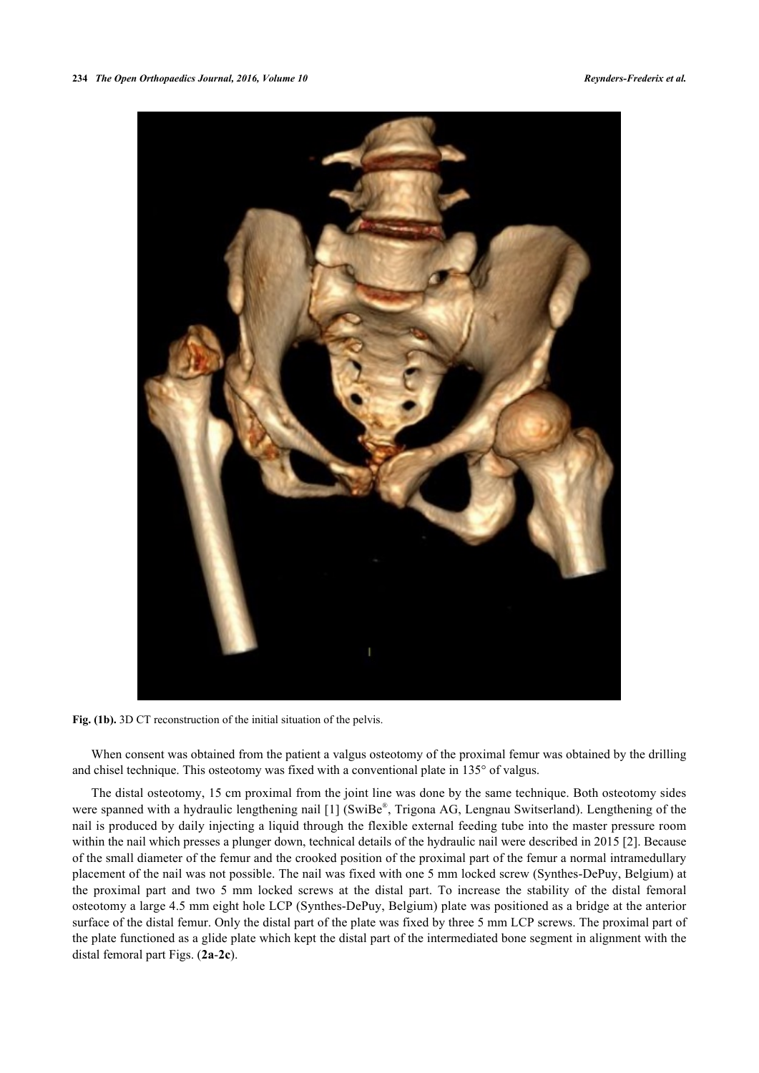

**Fig. (1b).** 3D CT reconstruction of the initial situation of the pelvis.

When consent was obtained from the patient a valgus osteotomy of the proximal femur was obtained by the drilling and chisel technique. This osteotomy was fixed with a conventional plate in 135° of valgus.

The distal osteotomy, 15 cm proximal from the joint line was done by the same technique. Both osteotomy sides were spanned with a hydraulic lengthening nail [[1](#page-8-0)] (SwiBe®, Trigona AG, Lengnau Switserland). Lengthening of the nail is produced by daily injecting a liquid through the flexible external feeding tube into the master pressure room within the nail which presses a plunger down, technical details of the hydraulic nail were described in 2015 [[2\]](#page-8-1). Because of the small diameter of the femur and the crooked position of the proximal part of the femur a normal intramedullary placement of the nail was not possible. The nail was fixed with one 5 mm locked screw (Synthes-DePuy, Belgium) at the proximal part and two 5 mm locked screws at the distal part. To increase the stability of the distal femoral osteotomy a large 4.5 mm eight hole LCP (Synthes-DePuy, Belgium) plate was positioned as a bridge at the anterior surface of the distal femur. Only the distal part of the plate was fixed by three 5 mm LCP screws. The proximal part of the plate functioned as a glide plate which kept the distal part of the intermediated bone segment in alignment with the distal femoral part Figs. (**[2a](#page--1-0)**-**[2c](#page--1-0)**).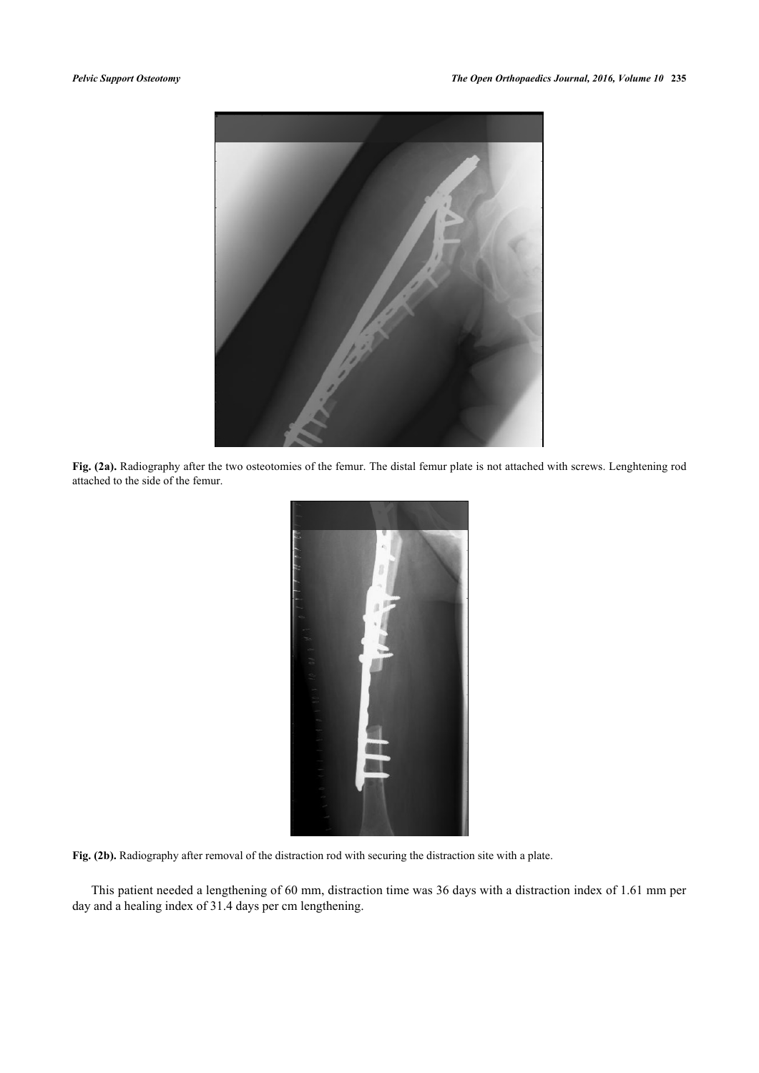

Fig. (2a). Radiography after the two osteotomies of the femur. The distal femur plate is not attached with screws. Lenghtening rod attached to the side of the femur.



Fig. (2b). Radiography after removal of the distraction rod with securing the distraction site with a plate.

This patient needed a lengthening of 60 mm, distraction time was 36 days with a distraction index of 1.61 mm per day and a healing index of 31.4 days per cm lengthening.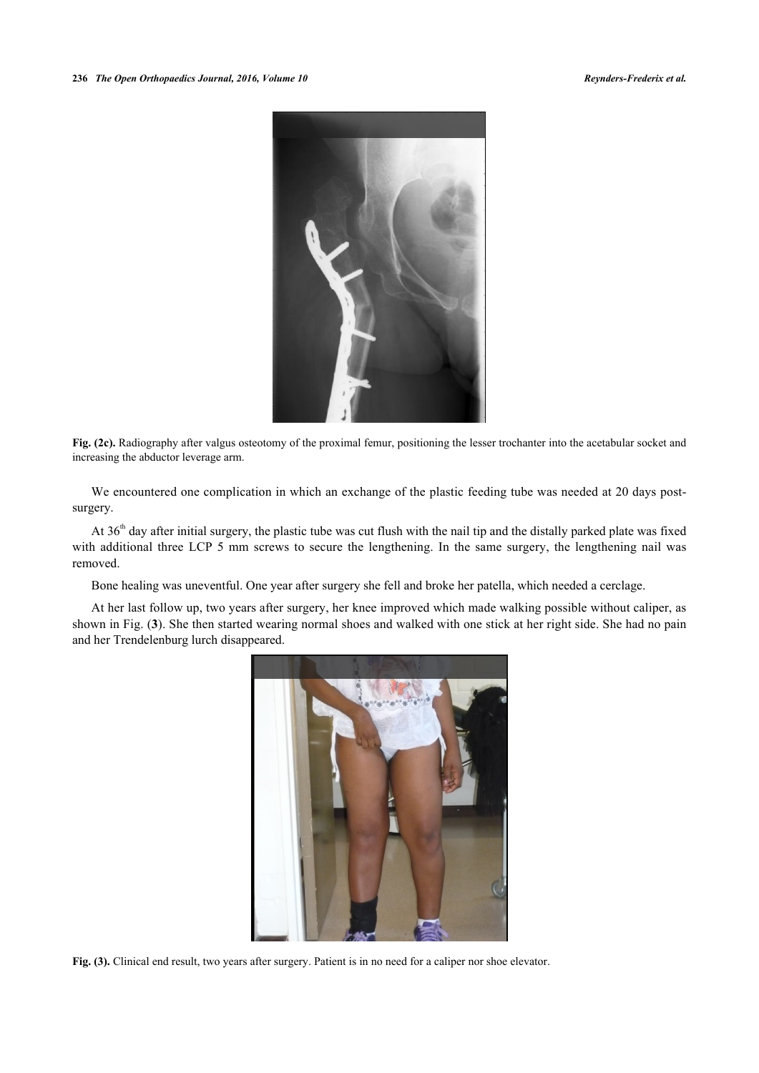

**Fig. (2c).** Radiography after valgus osteotomy of the proximal femur, positioning the lesser trochanter into the acetabular socket and increasing the abductor leverage arm.

We encountered one complication in which an exchange of the plastic feeding tube was needed at 20 days postsurgery.

At 36<sup>th</sup> day after initial surgery, the plastic tube was cut flush with the nail tip and the distally parked plate was fixed with additional three LCP 5 mm screws to secure the lengthening. In the same surgery, the lengthening nail was removed.

Bone healing was uneventful. One year after surgery she fell and broke her patella, which needed a cerclage.

At her last follow up, two years after surgery, her knee improved which made walking possible without caliper, as shown in Fig. (**[3](#page-4-1)**). She then started wearing normal shoes and walked with one stick at her right side. She had no pain and her Trendelenburg lurch disappeared.

<span id="page-4-1"></span><span id="page-4-0"></span>

**Fig. (3).** Clinical end result, two years after surgery. Patient is in no need for a caliper nor shoe elevator.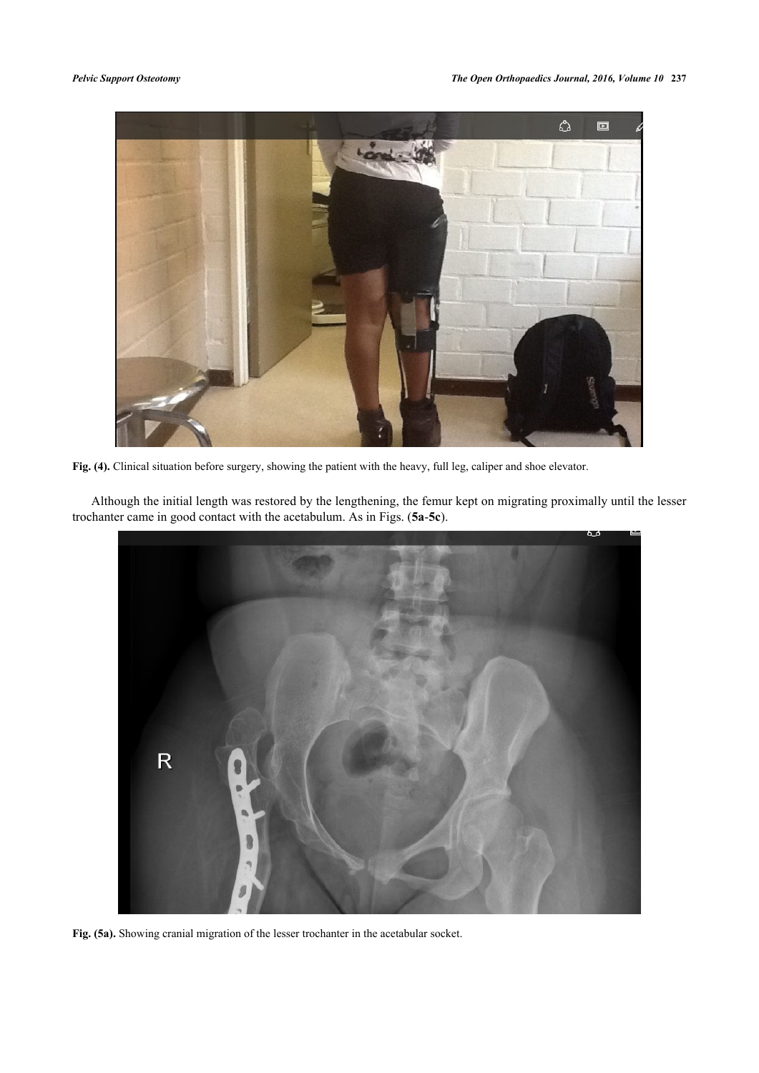

**Fig. (4).** Clinical situation before surgery, showing the patient with the heavy, full leg, caliper and shoe elevator.

Although the initial length was restored by the lengthening, the femur kept on migrating proximally until the lesser trochanter came in good contact with the acetabulum. As in Figs. (**[5a](#page-5-0)**-**[5c](#page-6-0)**).

<span id="page-5-0"></span>

**Fig. (5a).** Showing cranial migration of the lesser trochanter in the acetabular socket.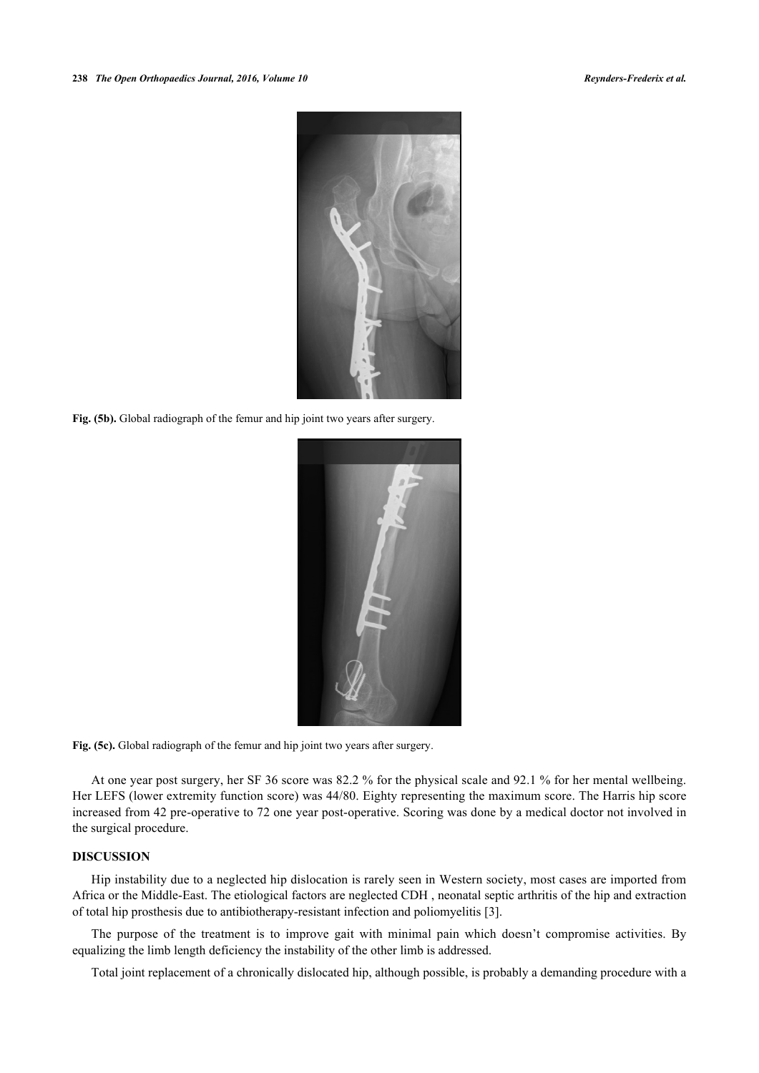

<span id="page-6-0"></span>Fig. (5b). Global radiograph of the femur and hip joint two years after surgery.



Fig. (5c). Global radiograph of the femur and hip joint two years after surgery.

At one year post surgery, her SF 36 score was 82.2 % for the physical scale and 92.1 % for her mental wellbeing. Her LEFS (lower extremity function score) was 44/80. Eighty representing the maximum score. The Harris hip score increased from 42 pre-operative to 72 one year post-operative. Scoring was done by a medical doctor not involved in the surgical procedure.

### **DISCUSSION**

Hip instability due to a neglected hip dislocation is rarely seen in Western society, most cases are imported from Africa or the Middle-East. The etiological factors are neglected CDH , neonatal septic arthritis of the hip and extraction of total hip prosthesis due to antibiotherapy-resistant infection and poliomyelitis [\[3](#page-8-2)].

The purpose of the treatment is to improve gait with minimal pain which doesn't compromise activities. By equalizing the limb length deficiency the instability of the other limb is addressed.

Total joint replacement of a chronically dislocated hip, although possible, is probably a demanding procedure with a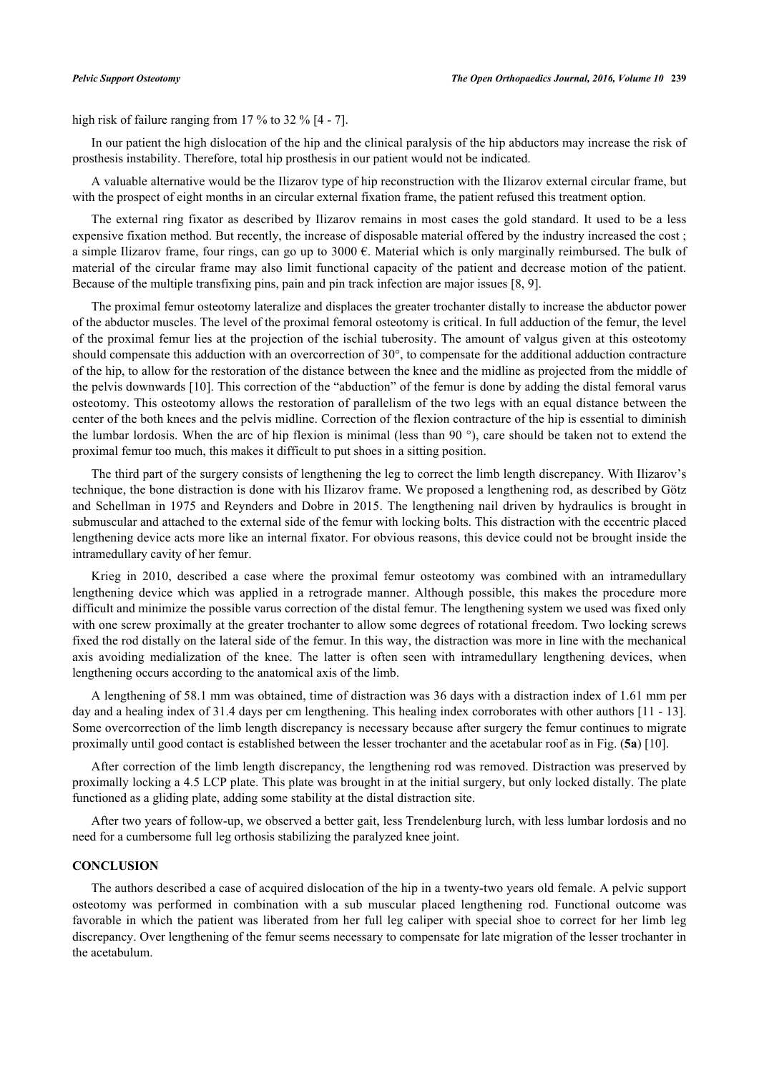high risk of failure ranging from 17 % to 32 % [\[4](#page-8-3) - [7](#page-8-4)].

In our patient the high dislocation of the hip and the clinical paralysis of the hip abductors may increase the risk of prosthesis instability. Therefore, total hip prosthesis in our patient would not be indicated.

A valuable alternative would be the Ilizarov type of hip reconstruction with the Ilizarov external circular frame, but with the prospect of eight months in an circular external fixation frame, the patient refused this treatment option.

The external ring fixator as described by Ilizarov remains in most cases the gold standard. It used to be a less expensive fixation method. But recently, the increase of disposable material offered by the industry increased the cost ; a simple Ilizarov frame, four rings, can go up to  $3000 \text{ }\epsilon$ . Material which is only marginally reimbursed. The bulk of material of the circular frame may also limit functional capacity of the patient and decrease motion of the patient. Because of the multiple transfixing pins, pain and pin track infection are major issues [\[8](#page-8-5), [9](#page-8-6)].

The proximal femur osteotomy lateralize and displaces the greater trochanter distally to increase the abductor power of the abductor muscles. The level of the proximal femoral osteotomy is critical. In full adduction of the femur, the level of the proximal femur lies at the projection of the ischial tuberosity. The amount of valgus given at this osteotomy should compensate this adduction with an overcorrection of 30°, to compensate for the additional adduction contracture of the hip, to allow for the restoration of the distance between the knee and the midline as projected from the middle of the pelvis downwards [[10\]](#page-8-7). This correction of the "abduction" of the femur is done by adding the distal femoral varus osteotomy. This osteotomy allows the restoration of parallelism of the two legs with an equal distance between the center of the both knees and the pelvis midline. Correction of the flexion contracture of the hip is essential to diminish the lumbar lordosis. When the arc of hip flexion is minimal (less than 90 °), care should be taken not to extend the proximal femur too much, this makes it difficult to put shoes in a sitting position.

The third part of the surgery consists of lengthening the leg to correct the limb length discrepancy. With Ilizarov's technique, the bone distraction is done with his Ilizarov frame. We proposed a lengthening rod, as described by Götz and Schellman in 1975 and Reynders and Dobre in 2015. The lengthening nail driven by hydraulics is brought in submuscular and attached to the external side of the femur with locking bolts. This distraction with the eccentric placed lengthening device acts more like an internal fixator. For obvious reasons, this device could not be brought inside the intramedullary cavity of her femur.

Krieg in 2010, described a case where the proximal femur osteotomy was combined with an intramedullary lengthening device which was applied in a retrograde manner. Although possible, this makes the procedure more difficult and minimize the possible varus correction of the distal femur. The lengthening system we used was fixed only with one screw proximally at the greater trochanter to allow some degrees of rotational freedom. Two locking screws fixed the rod distally on the lateral side of the femur. In this way, the distraction was more in line with the mechanical axis avoiding medialization of the knee. The latter is often seen with intramedullary lengthening devices, when lengthening occurs according to the anatomical axis of the limb.

A lengthening of 58.1 mm was obtained, time of distraction was 36 days with a distraction index of 1.61 mm per day and a healing index of 31.4 days per cm lengthening. This healing index corroborates with other authors [[11](#page-8-8) - [13\]](#page-8-9). Some overcorrection of the limb length discrepancy is necessary because after surgery the femur continues to migrate proximally until good contact is established between the lesser trochanter and the acetabular roof as in Fig. (**[5a](#page-5-0)**) [\[10](#page-8-7)].

After correction of the limb length discrepancy, the lengthening rod was removed. Distraction was preserved by proximally locking a 4.5 LCP plate. This plate was brought in at the initial surgery, but only locked distally. The plate functioned as a gliding plate, adding some stability at the distal distraction site.

After two years of follow-up, we observed a better gait, less Trendelenburg lurch, with less lumbar lordosis and no need for a cumbersome full leg orthosis stabilizing the paralyzed knee joint.

#### **CONCLUSION**

The authors described a case of acquired dislocation of the hip in a twenty-two years old female. A pelvic support osteotomy was performed in combination with a sub muscular placed lengthening rod. Functional outcome was favorable in which the patient was liberated from her full leg caliper with special shoe to correct for her limb leg discrepancy. Over lengthening of the femur seems necessary to compensate for late migration of the lesser trochanter in the acetabulum.